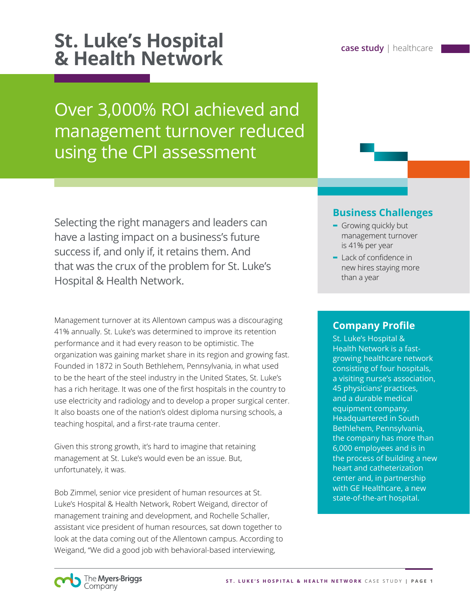# **St. Luke's Hospital case study** | healthcare **& Health Network**

Over 3,000% ROI achieved and management turnover reduced using the CPI assessment

Selecting the right managers and leaders can have a lasting impact on a business's future success if, and only if, it retains them. And that was the crux of the problem for St. Luke's Hospital & Health Network.

Management turnover at its Allentown campus was a discouraging 41% annually. St. Luke's was determined to improve its retention performance and it had every reason to be optimistic. The organization was gaining market share in its region and growing fast. Founded in 1872 in South Bethlehem, Pennsylvania, in what used to be the heart of the steel industry in the United States, St. Luke's has a rich heritage. It was one of the first hospitals in the country to use electricity and radiology and to develop a proper surgical center. It also boasts one of the nation's oldest diploma nursing schools, a teaching hospital, and a first-rate trauma center.

Given this strong growth, it's hard to imagine that retaining management at St. Luke's would even be an issue. But, unfortunately, it was.

Bob Zimmel, senior vice president of human resources at St. Luke's Hospital & Health Network, Robert Weigand, director of management training and development, and Rochelle Schaller, assistant vice president of human resources, sat down together to look at the data coming out of the Allentown campus. According to Weigand, "We did a good job with behavioral-based interviewing,

## **Business Challenges**

- **-** Growing quickly but management turnover is 41% per year
- **-** Lack of confidence in new hires staying more than a year

#### **Company Profile**

St. Luke's Hospital & Health Network is a fastgrowing healthcare network consisting of four hospitals, a visiting nurse's association, 45 physicians' practices, and a durable medical equipment company. Headquartered in South Bethlehem, Pennsylvania, the company has more than 6,000 employees and is in the process of building a new heart and catheterization center and, in partnership with GE Healthcare, a new state-of-the-art hospital.

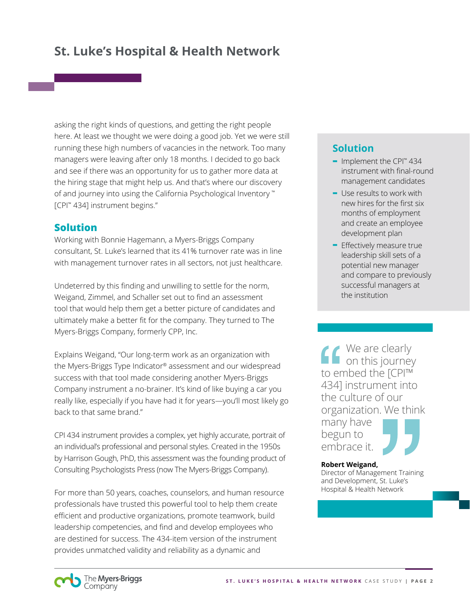asking the right kinds of questions, and getting the right people here. At least we thought we were doing a good job. Yet we were still running these high numbers of vacancies in the network. Too many managers were leaving after only 18 months. I decided to go back and see if there was an opportunity for us to gather more data at the hiring stage that might help us. And that's where our discovery of and journey into using the California Psychological Inventory ™ [CPI™ 434] instrument begins."

#### **Solution**

Working with Bonnie Hagemann, a Myers-Briggs Company consultant, St. Luke's learned that its 41% turnover rate was in line with management turnover rates in all sectors, not just healthcare.

Undeterred by this finding and unwilling to settle for the norm, Weigand, Zimmel, and Schaller set out to find an assessment tool that would help them get a better picture of candidates and ultimately make a better fit for the company. They turned to The Myers-Briggs Company, formerly CPP, Inc.

Explains Weigand, "Our long-term work as an organization with the Myers-Briggs Type Indicator® assessment and our widespread success with that tool made considering another Myers-Briggs Company instrument a no-brainer. It's kind of like buying a car you really like, especially if you have had it for years—you'll most likely go back to that same brand."

CPI 434 instrument provides a complex, yet highly accurate, portrait of an individual's professional and personal styles. Created in the 1950s by Harrison Gough, PhD, this assessment was the founding product of Consulting Psychologists Press (now The Myers-Briggs Company).

For more than 50 years, coaches, counselors, and human resource professionals have trusted this powerful tool to help them create efficient and productive organizations, promote teamwork, build leadership competencies, and find and develop employees who are destined for success. The 434-item version of the instrument provides unmatched validity and reliability as a dynamic and

## **Solution**

- **-** Implement the CPI™ 434 instrument with final-round management candidates
- **-** Use results to work with new hires for the first six months of employment and create an employee development plan
- **-** Effectively measure true leadership skill sets of a potential new manager and compare to previously successful managers at the institution

We are clearly on this journey to embed the [CPI™ 434] instrument into the culture of our organization. We think many have begun to embrace it.

#### **Robert Weigand,**

Director of Management Training and Development, St. Luke's Hospital & Health Network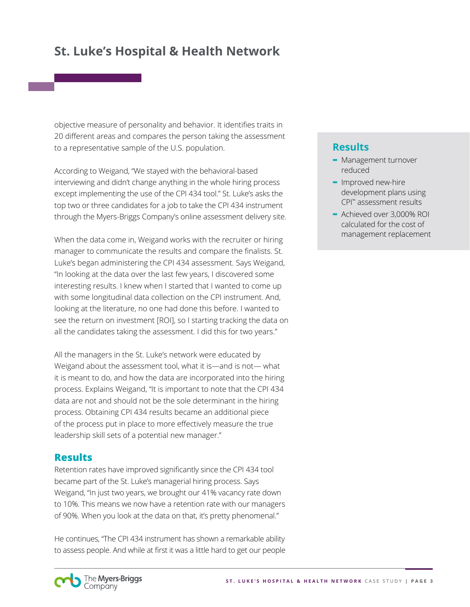objective measure of personality and behavior. It identifies traits in 20 different areas and compares the person taking the assessment to a representative sample of the U.S. population.

According to Weigand, "We stayed with the behavioral-based interviewing and didn't change anything in the whole hiring process except implementing the use of the CPI 434 tool." St. Luke's asks the top two or three candidates for a job to take the CPI 434 instrument through the Myers-Briggs Company's online assessment delivery site.

When the data come in, Weigand works with the recruiter or hiring manager to communicate the results and compare the finalists. St. Luke's began administering the CPI 434 assessment. Says Weigand, "In looking at the data over the last few years, I discovered some interesting results. I knew when I started that I wanted to come up with some longitudinal data collection on the CPI instrument. And, looking at the literature, no one had done this before. I wanted to see the return on investment [ROI], so I starting tracking the data on all the candidates taking the assessment. I did this for two years."

All the managers in the St. Luke's network were educated by Weigand about the assessment tool, what it is—and is not— what it is meant to do, and how the data are incorporated into the hiring process. Explains Weigand, "It is important to note that the CPI 434 data are not and should not be the sole determinant in the hiring process. Obtaining CPI 434 results became an additional piece of the process put in place to more effectively measure the true leadership skill sets of a potential new manager."

#### **Results**

Retention rates have improved significantly since the CPI 434 tool became part of the St. Luke's managerial hiring process. Says Weigand, "In just two years, we brought our 41% vacancy rate down to 10%. This means we now have a retention rate with our managers of 90%. When you look at the data on that, it's pretty phenomenal."

He continues, "The CPI 434 instrument has shown a remarkable ability to assess people. And while at first it was a little hard to get our people

### **Results**

- **-** Management turnover reduced
- **-** Improved new-hire development plans using CPI™ assessment results
- **-** Achieved over 3,000% ROI calculated for the cost of management replacement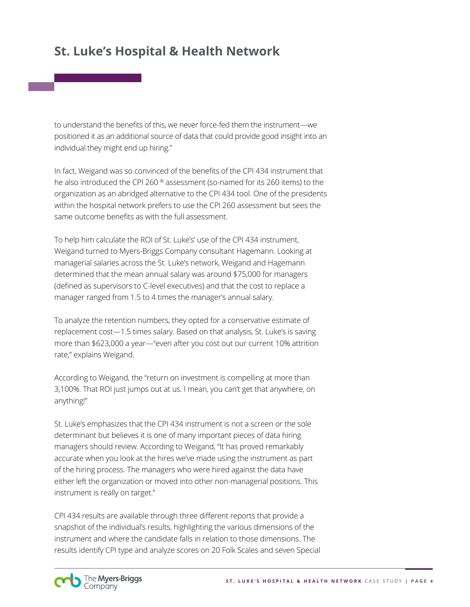to understand the benefits of this, we never force-fed them the instrument—we positioned it as an additional source of data that could provide good insight into an individual they might end up hiring."

In fact, Weigand was so convinced of the benefits of the CPI 434 instrument that he also introduced the CPI 260 ® assessment (so-named for its 260 items) to the organization as an abridged alternative to the CPI 434 tool. One of the presidents within the hospital network prefers to use the CPI 260 assessment but sees the same outcome benefits as with the full assessment.

To help him calculate the ROI of St. Luke's' use of the CPI 434 instrument, Weigand turned to Myers-Briggs Company consultant Hagemann. Looking at managerial salaries across the St. Luke's network, Weigand and Hagemann determined that the mean annual salary was around \$75,000 for managers (defined as supervisors to C-level executives) and that the cost to replace a manager ranged from 1.5 to 4 times the manager's annual salary.

To analyze the retention numbers, they opted for a conservative estimate of replacement cost—1.5 times salary. Based on that analysis, St. Luke's is saving more than \$623,000 a year—"even after you cost out our current 10% attrition rate," explains Weigand.

According to Weigand, the "return on investment is compelling at more than 3,100%. That ROI just jumps out at us. I mean, you can't get that anywhere, on anything!"

St. Luke's emphasizes that the CPI 434 instrument is not a screen or the sole determinant but believes it is one of many important pieces of data hiring managers should review. According to Weigand, "It has proved remarkably accurate when you look at the hires we've made using the instrument as part of the hiring process. The managers who were hired against the data have either left the organization or moved into other non-managerial positions. This instrument is really on target."

CPI 434 results are available through three different reports that provide a snapshot of the individual's results, highlighting the various dimensions of the instrument and where the candidate falls in relation to those dimensions. The results identify CPI type and analyze scores on 20 Folk Scales and seven Special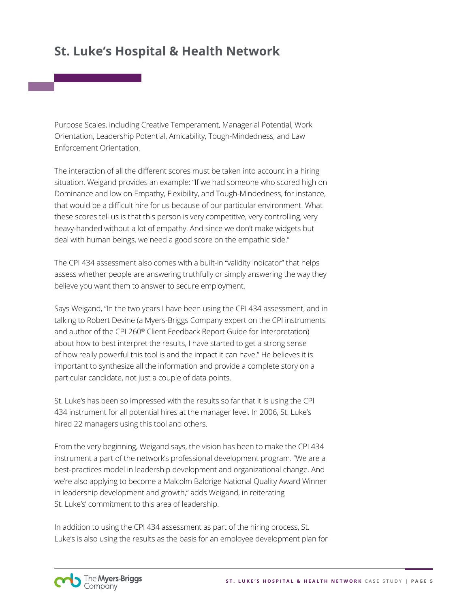Purpose Scales, including Creative Temperament, Managerial Potential, Work Orientation, Leadership Potential, Amicability, Tough-Mindedness, and Law Enforcement Orientation.

The interaction of all the different scores must be taken into account in a hiring situation. Weigand provides an example: "If we had someone who scored high on Dominance and low on Empathy, Flexibility, and Tough-Mindedness, for instance, that would be a difficult hire for us because of our particular environment. What these scores tell us is that this person is very competitive, very controlling, very heavy-handed without a lot of empathy. And since we don't make widgets but deal with human beings, we need a good score on the empathic side."

The CPI 434 assessment also comes with a built-in "validity indicator" that helps assess whether people are answering truthfully or simply answering the way they believe you want them to answer to secure employment.

Says Weigand, "In the two years I have been using the CPI 434 assessment, and in talking to Robert Devine (a Myers-Briggs Company expert on the CPI instruments and author of the CPI 260® Client Feedback Report Guide for Interpretation) about how to best interpret the results, I have started to get a strong sense of how really powerful this tool is and the impact it can have." He believes it is important to synthesize all the information and provide a complete story on a particular candidate, not just a couple of data points.

St. Luke's has been so impressed with the results so far that it is using the CPI 434 instrument for all potential hires at the manager level. In 2006, St. Luke's hired 22 managers using this tool and others.

From the very beginning, Weigand says, the vision has been to make the CPI 434 instrument a part of the network's professional development program. "We are a best-practices model in leadership development and organizational change. And we're also applying to become a Malcolm Baldrige National Quality Award Winner in leadership development and growth," adds Weigand, in reiterating St. Luke's' commitment to this area of leadership.

In addition to using the CPI 434 assessment as part of the hiring process, St. Luke's is also using the results as the basis for an employee development plan for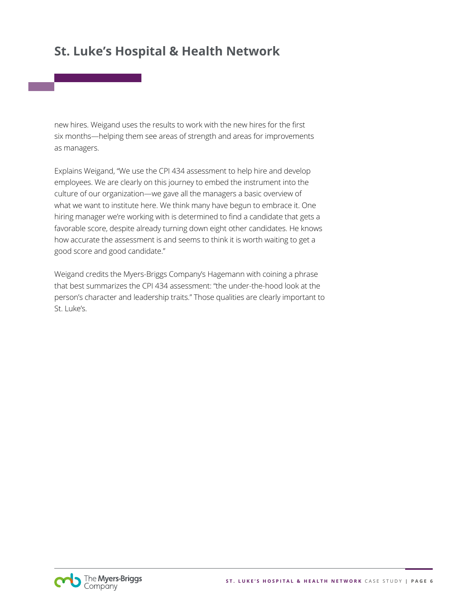new hires. Weigand uses the results to work with the new hires for the first six months—helping them see areas of strength and areas for improvements as managers.

Explains Weigand, "We use the CPI 434 assessment to help hire and develop employees. We are clearly on this journey to embed the instrument into the culture of our organization—we gave all the managers a basic overview of what we want to institute here. We think many have begun to embrace it. One hiring manager we're working with is determined to find a candidate that gets a favorable score, despite already turning down eight other candidates. He knows how accurate the assessment is and seems to think it is worth waiting to get a good score and good candidate."

Weigand credits the Myers-Briggs Company's Hagemann with coining a phrase that best summarizes the CPI 434 assessment: "the under-the-hood look at the person's character and leadership traits." Those qualities are clearly important to St. Luke's.